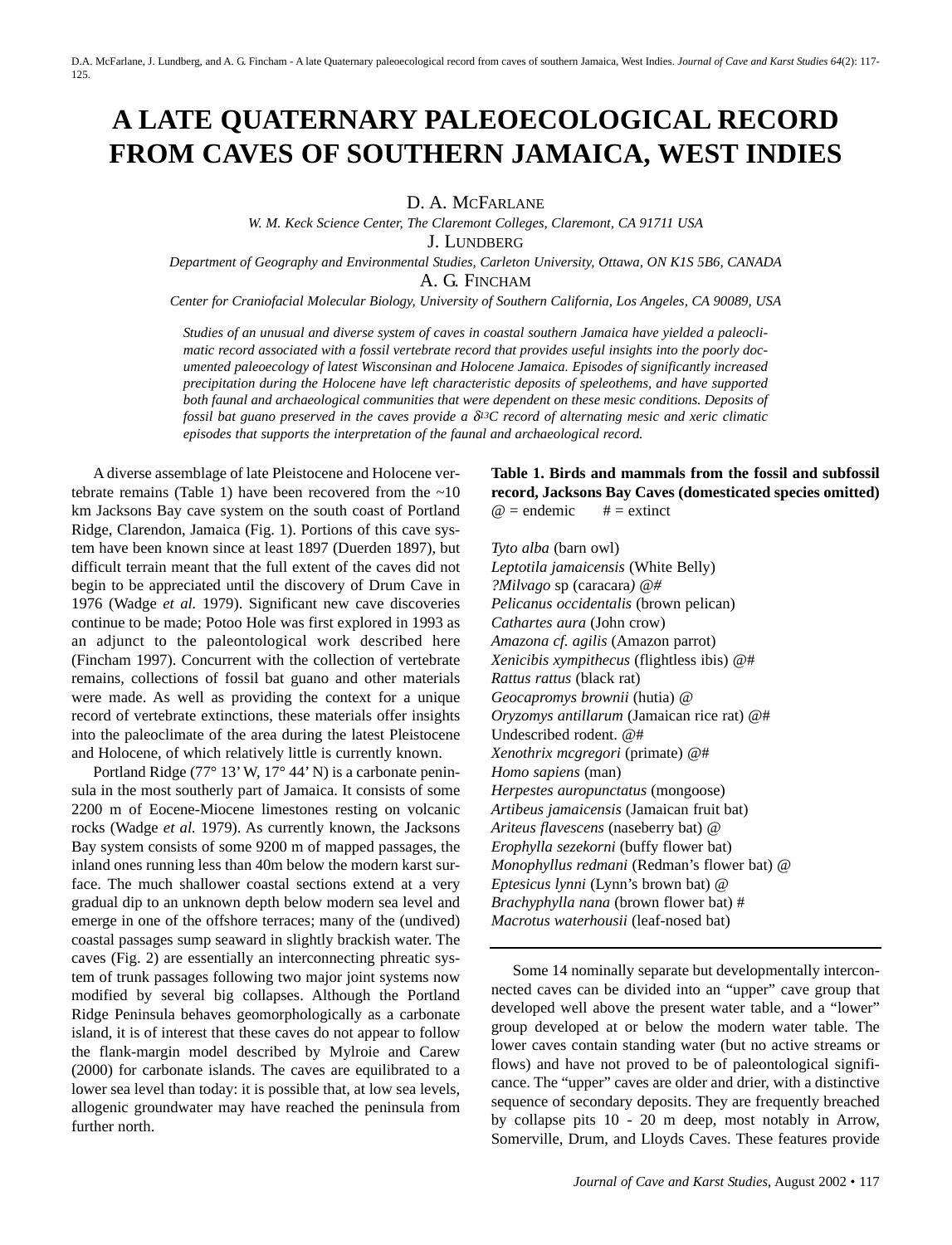# **A LATE QUATERNARY PALEOECOLOGICAL RECORD FROM CAVES OF SOUTHERN JAMAICA, WEST INDIES**

D. A. MCFARLANE

*W. M. Keck Science Center, The Claremont Colleges, Claremont, CA 91711 USA*

J. LUNDBERG

*Department of Geography and Environmental Studies, Carleton University, Ottawa, ON K1S 5B6, CANADA* A. G. FINCHAM

*Center for Craniofacial Molecular Biology, University of Southern California, Los Angeles, CA 90089, USA*

*Studies of an unusual and diverse system of caves in coastal southern Jamaica have yielded a paleoclimatic record associated with a fossil vertebrate record that provides useful insights into the poorly documented paleoecology of latest Wisconsinan and Holocene Jamaica. Episodes of significantly increased precipitation during the Holocene have left characteristic deposits of speleothems, and have supported both faunal and archaeological communities that were dependent on these mesic conditions. Deposits of fossil bat guano preserved in the caves provide a* δ*13C record of alternating mesic and xeric climatic episodes that supports the interpretation of the faunal and archaeological record.*

A diverse assemblage of late Pleistocene and Holocene vertebrate remains (Table 1) have been recovered from the  $~10$ km Jacksons Bay cave system on the south coast of Portland Ridge, Clarendon, Jamaica (Fig. 1). Portions of this cave system have been known since at least 1897 (Duerden 1897), but difficult terrain meant that the full extent of the caves did not begin to be appreciated until the discovery of Drum Cave in 1976 (Wadge *et al.* 1979). Significant new cave discoveries continue to be made; Potoo Hole was first explored in 1993 as an adjunct to the paleontological work described here (Fincham 1997). Concurrent with the collection of vertebrate remains, collections of fossil bat guano and other materials were made. As well as providing the context for a unique record of vertebrate extinctions, these materials offer insights into the paleoclimate of the area during the latest Pleistocene and Holocene, of which relatively little is currently known.

Portland Ridge (77° 13' W, 17° 44' N) is a carbonate peninsula in the most southerly part of Jamaica. It consists of some 2200 m of Eocene-Miocene limestones resting on volcanic rocks (Wadge *et al.* 1979). As currently known, the Jacksons Bay system consists of some 9200 m of mapped passages, the inland ones running less than 40m below the modern karst surface. The much shallower coastal sections extend at a very gradual dip to an unknown depth below modern sea level and emerge in one of the offshore terraces; many of the (undived) coastal passages sump seaward in slightly brackish water. The caves (Fig. 2) are essentially an interconnecting phreatic system of trunk passages following two major joint systems now modified by several big collapses. Although the Portland Ridge Peninsula behaves geomorphologically as a carbonate island, it is of interest that these caves do not appear to follow the flank-margin model described by Mylroie and Carew (2000) for carbonate islands. The caves are equilibrated to a lower sea level than today: it is possible that, at low sea levels, allogenic groundwater may have reached the peninsula from further north.

# **Table 1. Birds and mammals from the fossil and subfossil record, Jacksons Bay Caves (domesticated species omitted)**  $\omega$  = endemic # = extinct

*Tyto alba* (barn owl) *Leptotila jamaicensis* (White Belly) *?Milvago* sp (caracara*) @# Pelicanus occidentalis* (brown pelican) *Cathartes aura* (John crow) *Amazona cf. agilis* (Amazon parrot) *Xenicibis xympithecus* (flightless ibis) @# *Rattus rattus* (black rat) *Geocapromys brownii* (hutia) @ *Oryzomys antillarum* (Jamaican rice rat) @# Undescribed rodent. @# *Xenothrix mcgregori* (primate) @# *Homo sapiens* (man) *Herpestes auropunctatus* (mongoose) *Artibeus jamaicensis* (Jamaican fruit bat) *Ariteus flavescens* (naseberry bat) @ *Erophylla sezekorni* (buffy flower bat) *Monophyllus redmani* (Redman's flower bat) @ *Eptesicus lynni* (Lynn's brown bat) @ *Brachyphylla nana* (brown flower bat) # *Macrotus waterhousii* (leaf-nosed bat)

Some 14 nominally separate but developmentally interconnected caves can be divided into an "upper" cave group that developed well above the present water table, and a "lower" group developed at or below the modern water table. The lower caves contain standing water (but no active streams or flows) and have not proved to be of paleontological significance. The "upper" caves are older and drier, with a distinctive sequence of secondary deposits. They are frequently breached by collapse pits 10 - 20 m deep, most notably in Arrow, Somerville, Drum, and Lloyds Caves. These features provide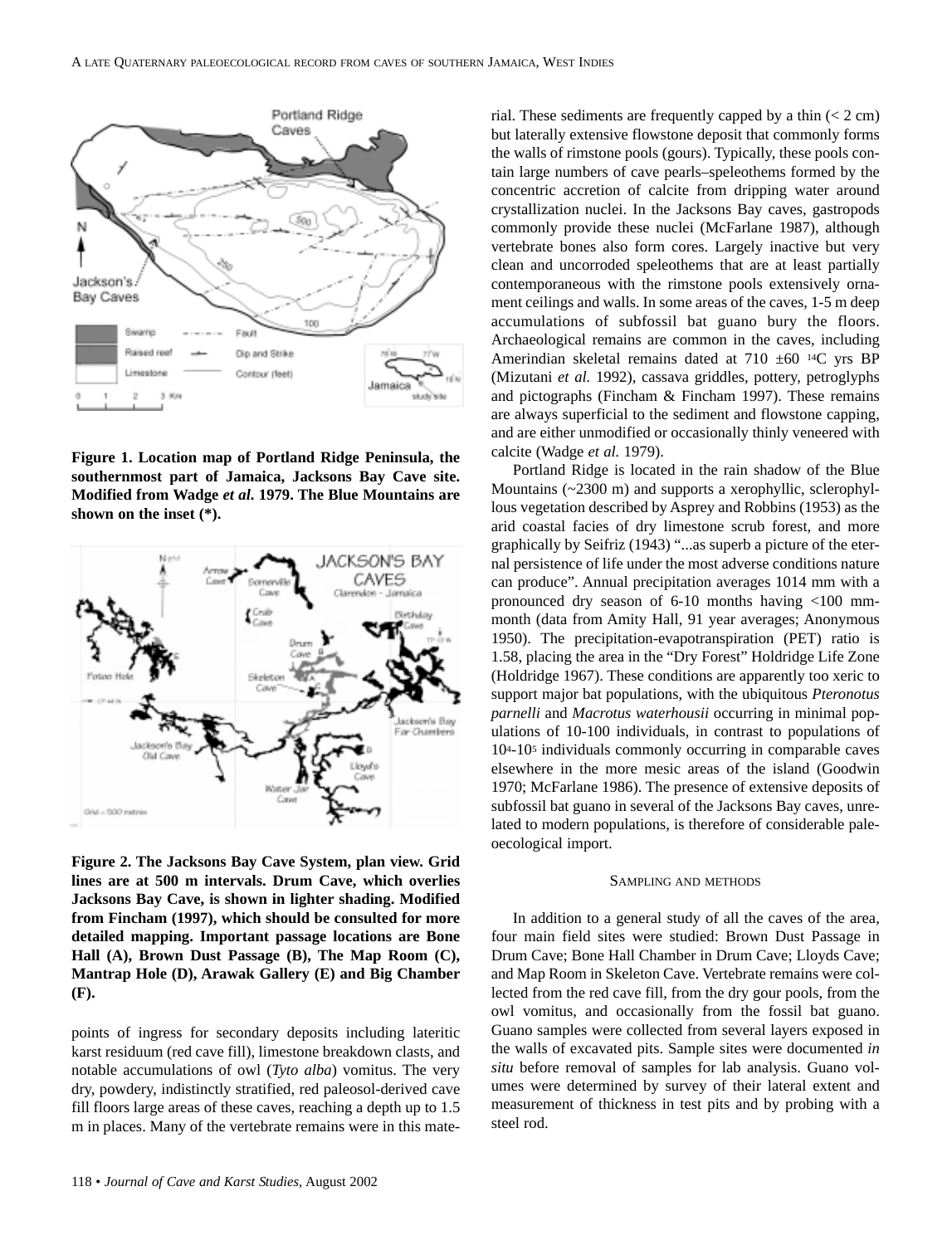

**Figure 1. Location map of Portland Ridge Peninsula, the southernmost part of Jamaica, Jacksons Bay Cave site. Modified from Wadge** *et al***. 1979. The Blue Mountains are shown on the inset (\*).**



**Figure 2. The Jacksons Bay Cave System, plan view. Grid lines are at 500 m intervals. Drum Cave, which overlies Jacksons Bay Cave, is shown in lighter shading. Modified from Fincham (1997), which should be consulted for more detailed mapping. Important passage locations are Bone Hall (A), Brown Dust Passage (B), The Map Room (C), Mantrap Hole (D), Arawak Gallery (E) and Big Chamber (F).**

points of ingress for secondary deposits including lateritic karst residuum (red cave fill), limestone breakdown clasts, and notable accumulations of owl (*Tyto alba*) vomitus. The very dry, powdery, indistinctly stratified, red paleosol-derived cave fill floors large areas of these caves, reaching a depth up to 1.5 m in places. Many of the vertebrate remains were in this material. These sediments are frequently capped by a thin  $(< 2 \text{ cm})$ but laterally extensive flowstone deposit that commonly forms the walls of rimstone pools (gours). Typically, these pools contain large numbers of cave pearls–speleothems formed by the concentric accretion of calcite from dripping water around crystallization nuclei. In the Jacksons Bay caves, gastropods commonly provide these nuclei (McFarlane 1987), although vertebrate bones also form cores. Largely inactive but very clean and uncorroded speleothems that are at least partially contemporaneous with the rimstone pools extensively ornament ceilings and walls. In some areas of the caves, 1-5 m deep accumulations of subfossil bat guano bury the floors. Archaeological remains are common in the caves, including Amerindian skeletal remains dated at 710 ±60 14C yrs BP (Mizutani *et al.* 1992), cassava griddles, pottery, petroglyphs and pictographs (Fincham & Fincham 1997). These remains are always superficial to the sediment and flowstone capping, and are either unmodified or occasionally thinly veneered with calcite (Wadge *et al.* 1979).

Portland Ridge is located in the rain shadow of the Blue Mountains (~2300 m) and supports a xerophyllic, sclerophyllous vegetation described by Asprey and Robbins (1953) as the arid coastal facies of dry limestone scrub forest, and more graphically by Seifriz (1943) "...as superb a picture of the eternal persistence of life under the most adverse conditions nature can produce". Annual precipitation averages 1014 mm with a pronounced dry season of 6-10 months having <100 mmmonth (data from Amity Hall, 91 year averages; Anonymous 1950). The precipitation-evapotranspiration (PET) ratio is 1.58, placing the area in the "Dry Forest" Holdridge Life Zone (Holdridge 1967). These conditions are apparently too xeric to support major bat populations, with the ubiquitous *Pteronotus parnelli* and *Macrotus waterhousii* occurring in minimal populations of 10-100 individuals, in contrast to populations of 104-105 individuals commonly occurring in comparable caves elsewhere in the more mesic areas of the island (Goodwin 1970; McFarlane 1986). The presence of extensive deposits of subfossil bat guano in several of the Jacksons Bay caves, unrelated to modern populations, is therefore of considerable paleoecological import.

#### SAMPLING AND METHODS

In addition to a general study of all the caves of the area, four main field sites were studied: Brown Dust Passage in Drum Cave; Bone Hall Chamber in Drum Cave; Lloyds Cave; and Map Room in Skeleton Cave. Vertebrate remains were collected from the red cave fill, from the dry gour pools, from the owl vomitus, and occasionally from the fossil bat guano. Guano samples were collected from several layers exposed in the walls of excavated pits. Sample sites were documented *in situ* before removal of samples for lab analysis. Guano volumes were determined by survey of their lateral extent and measurement of thickness in test pits and by probing with a steel rod.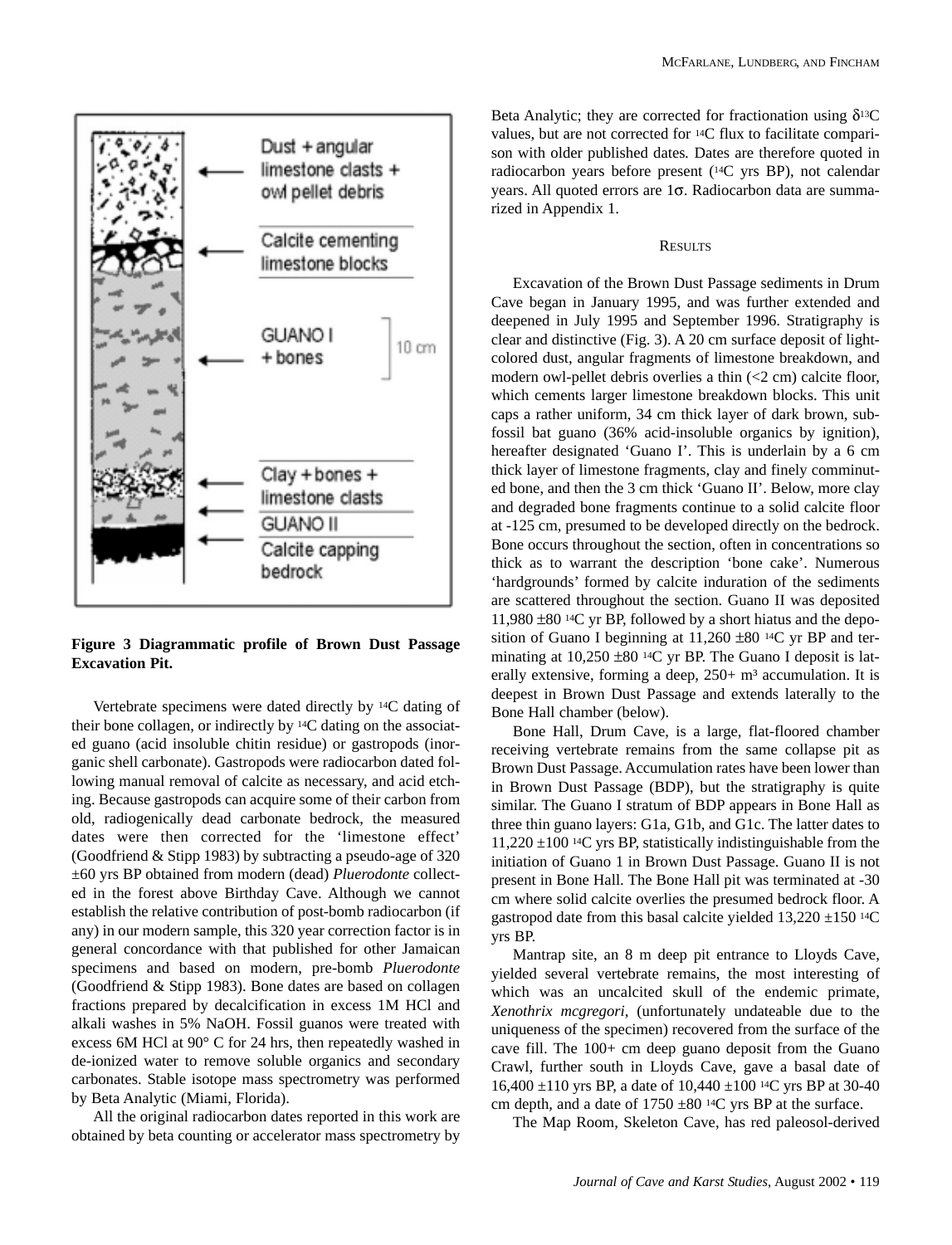

**Figure 3 Diagrammatic profile of Brown Dust Passage Excavation Pit.**

Vertebrate specimens were dated directly by 14C dating of their bone collagen, or indirectly by 14C dating on the associated guano (acid insoluble chitin residue) or gastropods (inorganic shell carbonate). Gastropods were radiocarbon dated following manual removal of calcite as necessary, and acid etching. Because gastropods can acquire some of their carbon from old, radiogenically dead carbonate bedrock, the measured dates were then corrected for the 'limestone effect' (Goodfriend & Stipp 1983) by subtracting a pseudo-age of 320 ±60 yrs BP obtained from modern (dead) *Pluerodonte* collected in the forest above Birthday Cave. Although we cannot establish the relative contribution of post-bomb radiocarbon (if any) in our modern sample, this 320 year correction factor is in general concordance with that published for other Jamaican specimens and based on modern, pre-bomb *Pluerodonte* (Goodfriend & Stipp 1983). Bone dates are based on collagen fractions prepared by decalcification in excess 1M HCl and alkali washes in 5% NaOH. Fossil guanos were treated with excess 6M HCl at 90° C for 24 hrs, then repeatedly washed in de-ionized water to remove soluble organics and secondary carbonates. Stable isotope mass spectrometry was performed by Beta Analytic (Miami, Florida).

All the original radiocarbon dates reported in this work are obtained by beta counting or accelerator mass spectrometry by Beta Analytic; they are corrected for fractionation using  $\delta^{13}C$ values, but are not corrected for 14C flux to facilitate comparison with older published dates*.* Dates are therefore quoted in radiocarbon years before present (14C yrs BP), not calendar years. All quoted errors are 1σ. Radiocarbon data are summarized in Appendix 1.

## **RESULTS**

Excavation of the Brown Dust Passage sediments in Drum Cave began in January 1995, and was further extended and deepened in July 1995 and September 1996. Stratigraphy is clear and distinctive (Fig. 3). A 20 cm surface deposit of lightcolored dust, angular fragments of limestone breakdown, and modern owl-pellet debris overlies a thin (<2 cm) calcite floor, which cements larger limestone breakdown blocks. This unit caps a rather uniform, 34 cm thick layer of dark brown, subfossil bat guano (36% acid-insoluble organics by ignition), hereafter designated 'Guano I'. This is underlain by a 6 cm thick layer of limestone fragments, clay and finely comminuted bone, and then the 3 cm thick 'Guano II'. Below, more clay and degraded bone fragments continue to a solid calcite floor at -125 cm, presumed to be developed directly on the bedrock. Bone occurs throughout the section, often in concentrations so thick as to warrant the description 'bone cake'. Numerous 'hardgrounds' formed by calcite induration of the sediments are scattered throughout the section. Guano II was deposited 11,980 ±80 14C yr BP, followed by a short hiatus and the deposition of Guano I beginning at  $11,260 \pm 80$  <sup>14</sup>C yr BP and terminating at 10,250 ±80 <sup>14</sup>C yr BP. The Guano I deposit is laterally extensive, forming a deep,  $250+ m<sup>3</sup>$  accumulation. It is deepest in Brown Dust Passage and extends laterally to the Bone Hall chamber (below).

Bone Hall, Drum Cave, is a large, flat-floored chamber receiving vertebrate remains from the same collapse pit as Brown Dust Passage. Accumulation rates have been lower than in Brown Dust Passage (BDP), but the stratigraphy is quite similar. The Guano I stratum of BDP appears in Bone Hall as three thin guano layers: G1a, G1b, and G1c. The latter dates to 11,220 ±100 14C yrs BP, statistically indistinguishable from the initiation of Guano 1 in Brown Dust Passage. Guano II is not present in Bone Hall. The Bone Hall pit was terminated at -30 cm where solid calcite overlies the presumed bedrock floor. A gastropod date from this basal calcite yielded  $13,220 \pm 150$  <sup>14</sup>C yrs BP.

Mantrap site, an 8 m deep pit entrance to Lloyds Cave, yielded several vertebrate remains, the most interesting of which was an uncalcited skull of the endemic primate, *Xenothrix mcgregori*, (unfortunately undateable due to the uniqueness of the specimen) recovered from the surface of the cave fill. The 100+ cm deep guano deposit from the Guano Crawl, further south in Lloyds Cave, gave a basal date of 16,400 ±110 yrs BP, a date of 10,440 ±100 14C yrs BP at 30-40 cm depth, and a date of  $1750 \pm 80$  <sup>14</sup>C yrs BP at the surface.

The Map Room, Skeleton Cave, has red paleosol-derived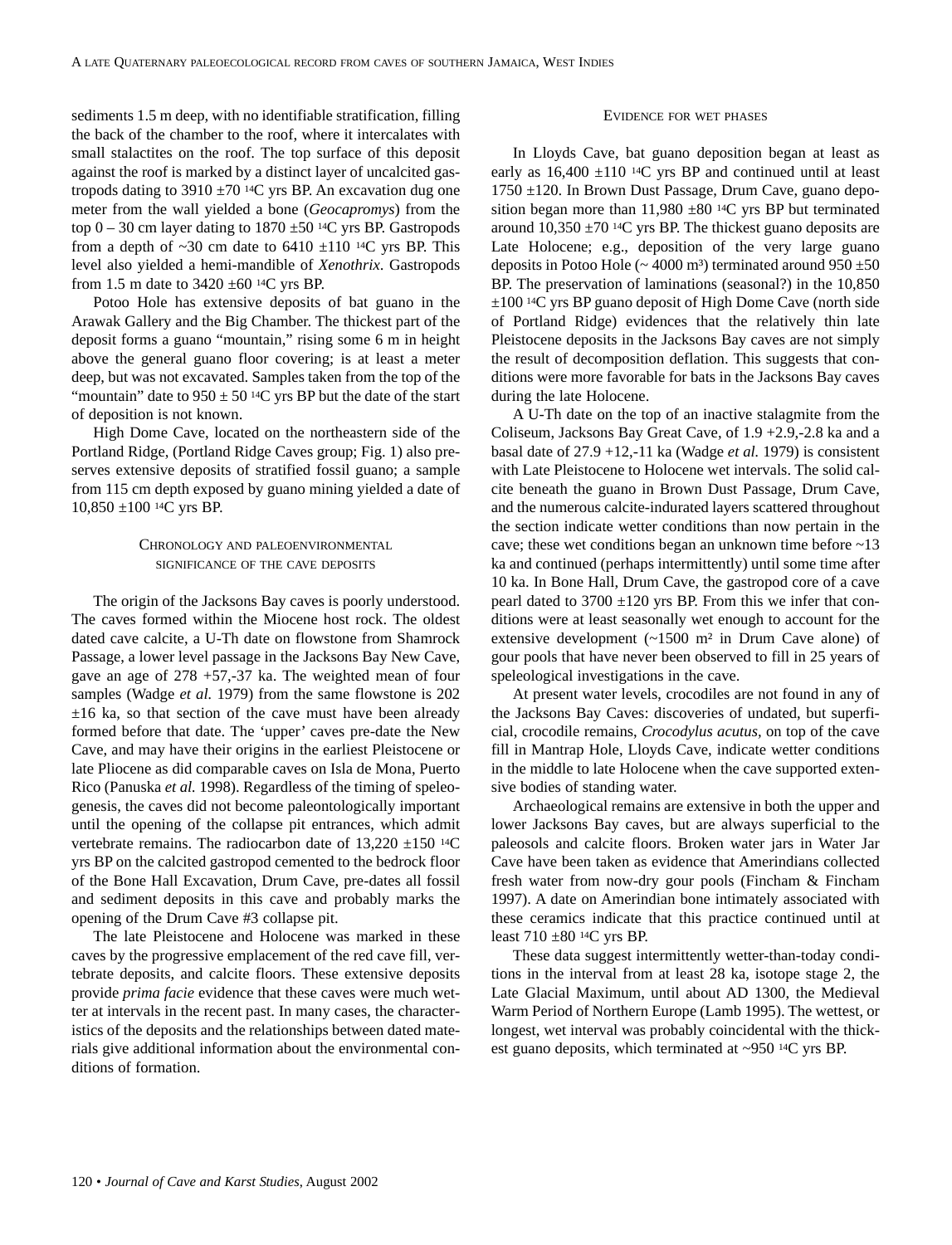sediments 1.5 m deep, with no identifiable stratification, filling the back of the chamber to the roof, where it intercalates with small stalactites on the roof. The top surface of this deposit against the roof is marked by a distinct layer of uncalcited gastropods dating to  $3910 \pm 70$  <sup>14</sup>C yrs BP. An excavation dug one meter from the wall yielded a bone (*Geocapromys*) from the top  $0 - 30$  cm layer dating to  $1870 \pm 50$  <sup>14</sup>C yrs BP. Gastropods from a depth of  $\sim$ 30 cm date to 6410  $\pm$ 110 <sup>14</sup>C yrs BP. This level also yielded a hemi-mandible of *Xenothrix*. Gastropods from 1.5 m date to 3420 ±60 14C yrs BP.

Potoo Hole has extensive deposits of bat guano in the Arawak Gallery and the Big Chamber. The thickest part of the deposit forms a guano "mountain," rising some 6 m in height above the general guano floor covering; is at least a meter deep, but was not excavated. Samples taken from the top of the "mountain" date to  $950 \pm 50$  <sup>14</sup>C yrs BP but the date of the start of deposition is not known.

High Dome Cave, located on the northeastern side of the Portland Ridge, (Portland Ridge Caves group; Fig. 1) also preserves extensive deposits of stratified fossil guano; a sample from 115 cm depth exposed by guano mining yielded a date of 10,850 ±100 14C yrs BP.

## CHRONOLOGY AND PALEOENVIRONMENTAL SIGNIFICANCE OF THE CAVE DEPOSITS

The origin of the Jacksons Bay caves is poorly understood. The caves formed within the Miocene host rock. The oldest dated cave calcite, a U-Th date on flowstone from Shamrock Passage, a lower level passage in the Jacksons Bay New Cave, gave an age of 278 +57,-37 ka. The weighted mean of four samples (Wadge *et al.* 1979) from the same flowstone is 202  $\pm 16$  ka, so that section of the cave must have been already formed before that date. The 'upper' caves pre-date the New Cave, and may have their origins in the earliest Pleistocene or late Pliocene as did comparable caves on Isla de Mona, Puerto Rico (Panuska *et al.* 1998). Regardless of the timing of speleogenesis, the caves did not become paleontologically important until the opening of the collapse pit entrances, which admit vertebrate remains. The radiocarbon date of  $13,220 \pm 150$  <sup>14</sup>C yrs BP on the calcited gastropod cemented to the bedrock floor of the Bone Hall Excavation, Drum Cave, pre-dates all fossil and sediment deposits in this cave and probably marks the opening of the Drum Cave #3 collapse pit.

The late Pleistocene and Holocene was marked in these caves by the progressive emplacement of the red cave fill, vertebrate deposits, and calcite floors. These extensive deposits provide *prima facie* evidence that these caves were much wetter at intervals in the recent past. In many cases, the characteristics of the deposits and the relationships between dated materials give additional information about the environmental conditions of formation.

## EVIDENCE FOR WET PHASES

In Lloyds Cave, bat guano deposition began at least as early as  $16,400 \pm 110$  <sup>14</sup>C yrs BP and continued until at least 1750 ±120. In Brown Dust Passage, Drum Cave, guano deposition began more than  $11,980 \pm 80$  <sup>14</sup>C yrs BP but terminated around  $10,350 \pm 70$  <sup>14</sup>C yrs BP. The thickest guano deposits are Late Holocene; e.g., deposition of the very large guano deposits in Potoo Hole ( $\sim$  4000 m<sup>3</sup>) terminated around 950  $\pm$ 50 BP. The preservation of laminations (seasonal?) in the 10,850 ±100 14C yrs BP guano deposit of High Dome Cave (north side of Portland Ridge) evidences that the relatively thin late Pleistocene deposits in the Jacksons Bay caves are not simply the result of decomposition deflation. This suggests that conditions were more favorable for bats in the Jacksons Bay caves during the late Holocene.

A U-Th date on the top of an inactive stalagmite from the Coliseum, Jacksons Bay Great Cave, of 1.9 +2.9,-2.8 ka and a basal date of 27.9 +12,-11 ka (Wadge *et al.* 1979) is consistent with Late Pleistocene to Holocene wet intervals. The solid calcite beneath the guano in Brown Dust Passage, Drum Cave, and the numerous calcite-indurated layers scattered throughout the section indicate wetter conditions than now pertain in the cave; these wet conditions began an unknown time before ~13 ka and continued (perhaps intermittently) until some time after 10 ka. In Bone Hall, Drum Cave, the gastropod core of a cave pearl dated to  $3700 \pm 120$  yrs BP. From this we infer that conditions were at least seasonally wet enough to account for the extensive development  $({\sim}1500 \text{ m}^2)$  in Drum Cave alone) of gour pools that have never been observed to fill in 25 years of speleological investigations in the cave.

At present water levels, crocodiles are not found in any of the Jacksons Bay Caves: discoveries of undated, but superficial, crocodile remains, *Crocodylus acutus,* on top of the cave fill in Mantrap Hole, Lloyds Cave, indicate wetter conditions in the middle to late Holocene when the cave supported extensive bodies of standing water.

Archaeological remains are extensive in both the upper and lower Jacksons Bay caves, but are always superficial to the paleosols and calcite floors. Broken water jars in Water Jar Cave have been taken as evidence that Amerindians collected fresh water from now-dry gour pools (Fincham & Fincham 1997). A date on Amerindian bone intimately associated with these ceramics indicate that this practice continued until at least  $710 \pm 80$  <sup>14</sup>C yrs BP.

These data suggest intermittently wetter-than-today conditions in the interval from at least 28 ka, isotope stage 2, the Late Glacial Maximum, until about AD 1300, the Medieval Warm Period of Northern Europe (Lamb 1995). The wettest, or longest, wet interval was probably coincidental with the thickest guano deposits, which terminated at ~950 14C yrs BP.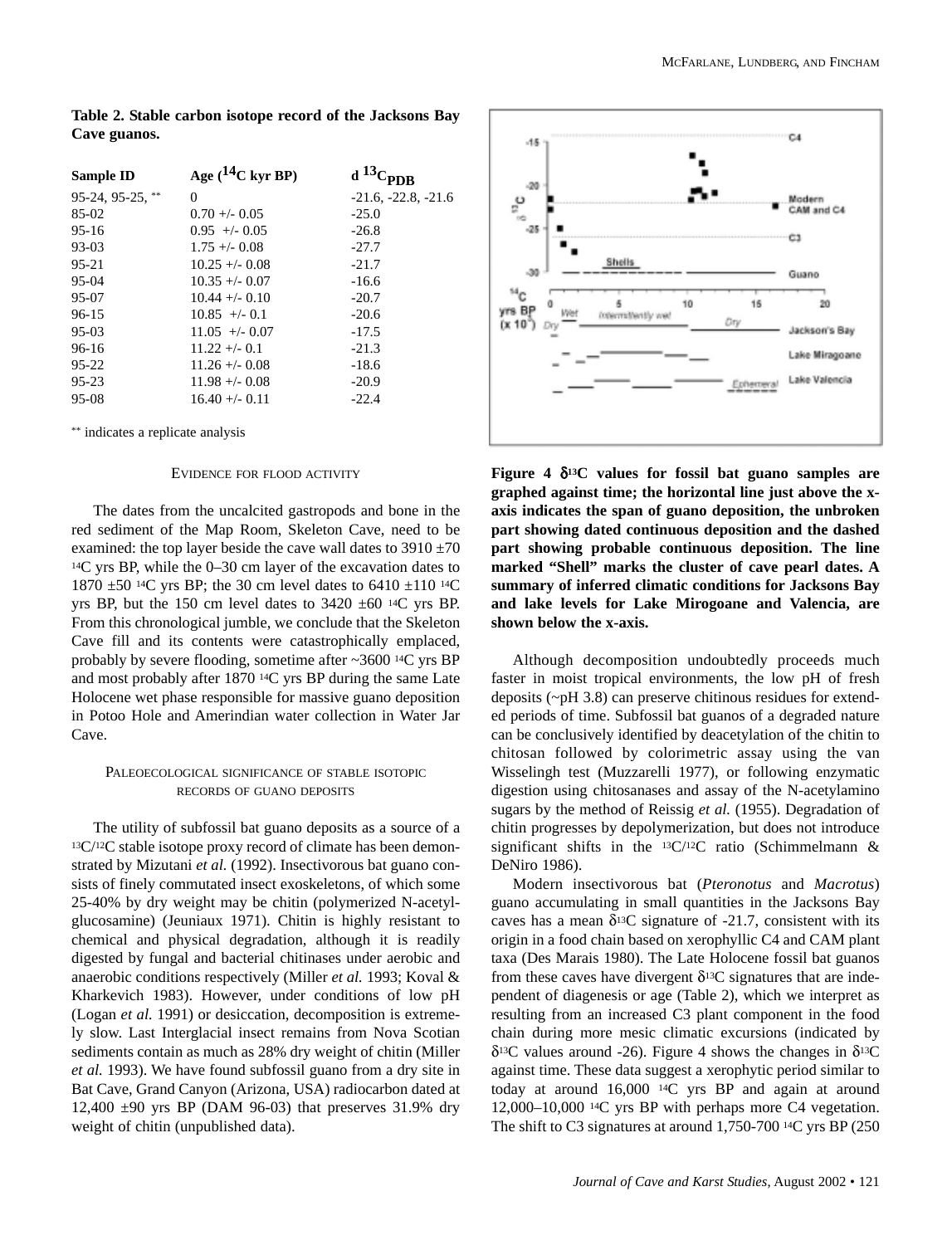| Sample ID          | Age $(^{14}C$ kyr BP) | $d^{13}$              |
|--------------------|-----------------------|-----------------------|
| $95-24, 95-25,$ ** | 0                     | $-21.6, -22.8, -21.6$ |
| $85-02$            | $0.70 + - 0.05$       | $-25.0$               |
| $95 - 16$          | $0.95 + -0.05$        | $-26.8$               |
| $93-03$            | $1.75 + (-0.08)$      | $-27.7$               |
| $95 - 21$          | $10.25 + (-0.08)$     | $-21.7$               |
| $95-04$            | $10.35 + (-0.07)$     | $-16.6$               |
| 95-07              | $10.44 + (-0.10)$     | $-20.7$               |
| $96 - 15$          | $10.85 +/- 0.1$       | $-20.6$               |
| $95-03$            | $11.05 + -0.07$       | $-17.5$               |
| $96-16$            | $11.22 + - 0.1$       | $-21.3$               |
| 95-22              | $11.26 + - 0.08$      | $-18.6$               |
| $95 - 23$          | $11.98 + -0.08$       | $-20.9$               |
| $95-08$            | $16.40 +/- 0.11$      | $-22.4$               |

**Table 2. Stable carbon isotope record of the Jacksons Bay Cave guanos.**

\*\* indicates a replicate analysis

## EVIDENCE FOR FLOOD ACTIVITY

The dates from the uncalcited gastropods and bone in the red sediment of the Map Room, Skeleton Cave, need to be examined: the top layer beside the cave wall dates to  $3910 \pm 70$ 14C yrs BP, while the 0–30 cm layer of the excavation dates to 1870 ±50 14C yrs BP; the 30 cm level dates to 6410 ±110 14C yrs BP, but the 150 cm level dates to 3420 ±60 14C yrs BP. From this chronological jumble, we conclude that the Skeleton Cave fill and its contents were catastrophically emplaced, probably by severe flooding, sometime after ~3600 14C yrs BP and most probably after 1870 14C yrs BP during the same Late Holocene wet phase responsible for massive guano deposition in Potoo Hole and Amerindian water collection in Water Jar Cave.

## PALEOECOLOGICAL SIGNIFICANCE OF STABLE ISOTOPIC RECORDS OF GUANO DEPOSITS

The utility of subfossil bat guano deposits as a source of a 13C/12C stable isotope proxy record of climate has been demonstrated by Mizutani *et al.* (1992). Insectivorous bat guano consists of finely commutated insect exoskeletons, of which some 25-40% by dry weight may be chitin (polymerized N-acetylglucosamine) (Jeuniaux 1971). Chitin is highly resistant to chemical and physical degradation, although it is readily digested by fungal and bacterial chitinases under aerobic and anaerobic conditions respectively (Miller *et al.* 1993; Koval & Kharkevich 1983). However, under conditions of low pH (Logan *et al.* 1991) or desiccation, decomposition is extremely slow. Last Interglacial insect remains from Nova Scotian sediments contain as much as 28% dry weight of chitin (Miller *et al.* 1993). We have found subfossil guano from a dry site in Bat Cave, Grand Canyon (Arizona, USA) radiocarbon dated at 12,400 ±90 yrs BP (DAM 96-03) that preserves 31.9% dry weight of chitin (unpublished data).



**Figure 4** δ**13C values for fossil bat guano samples are graphed against time; the horizontal line just above the xaxis indicates the span of guano deposition, the unbroken part showing dated continuous deposition and the dashed part showing probable continuous deposition. The line marked "Shell" marks the cluster of cave pearl dates. A summary of inferred climatic conditions for Jacksons Bay and lake levels for Lake Mirogoane and Valencia, are shown below the x-axis.**

Although decomposition undoubtedly proceeds much faster in moist tropical environments, the low pH of fresh deposits (~pH 3.8) can preserve chitinous residues for extended periods of time. Subfossil bat guanos of a degraded nature can be conclusively identified by deacetylation of the chitin to chitosan followed by colorimetric assay using the van Wisselingh test (Muzzarelli 1977), or following enzymatic digestion using chitosanases and assay of the N-acetylamino sugars by the method of Reissig *et al.* (1955). Degradation of chitin progresses by depolymerization, but does not introduce significant shifts in the 13C/12C ratio (Schimmelmann & DeNiro 1986).

Modern insectivorous bat (*Pteronotus* and *Macrotus*) guano accumulating in small quantities in the Jacksons Bay caves has a mean  $\delta^{13}$ C signature of -21.7, consistent with its origin in a food chain based on xerophyllic C4 and CAM plant taxa (Des Marais 1980). The Late Holocene fossil bat guanos from these caves have divergent  $\delta^{13}$ C signatures that are independent of diagenesis or age (Table 2), which we interpret as resulting from an increased C3 plant component in the food chain during more mesic climatic excursions (indicated by δ13C values around -26). Figure 4 shows the changes in δ13C against time. These data suggest a xerophytic period similar to today at around 16,000 14C yrs BP and again at around 12,000–10,000 14C yrs BP with perhaps more C4 vegetation. The shift to C3 signatures at around 1,750-700 14C yrs BP (250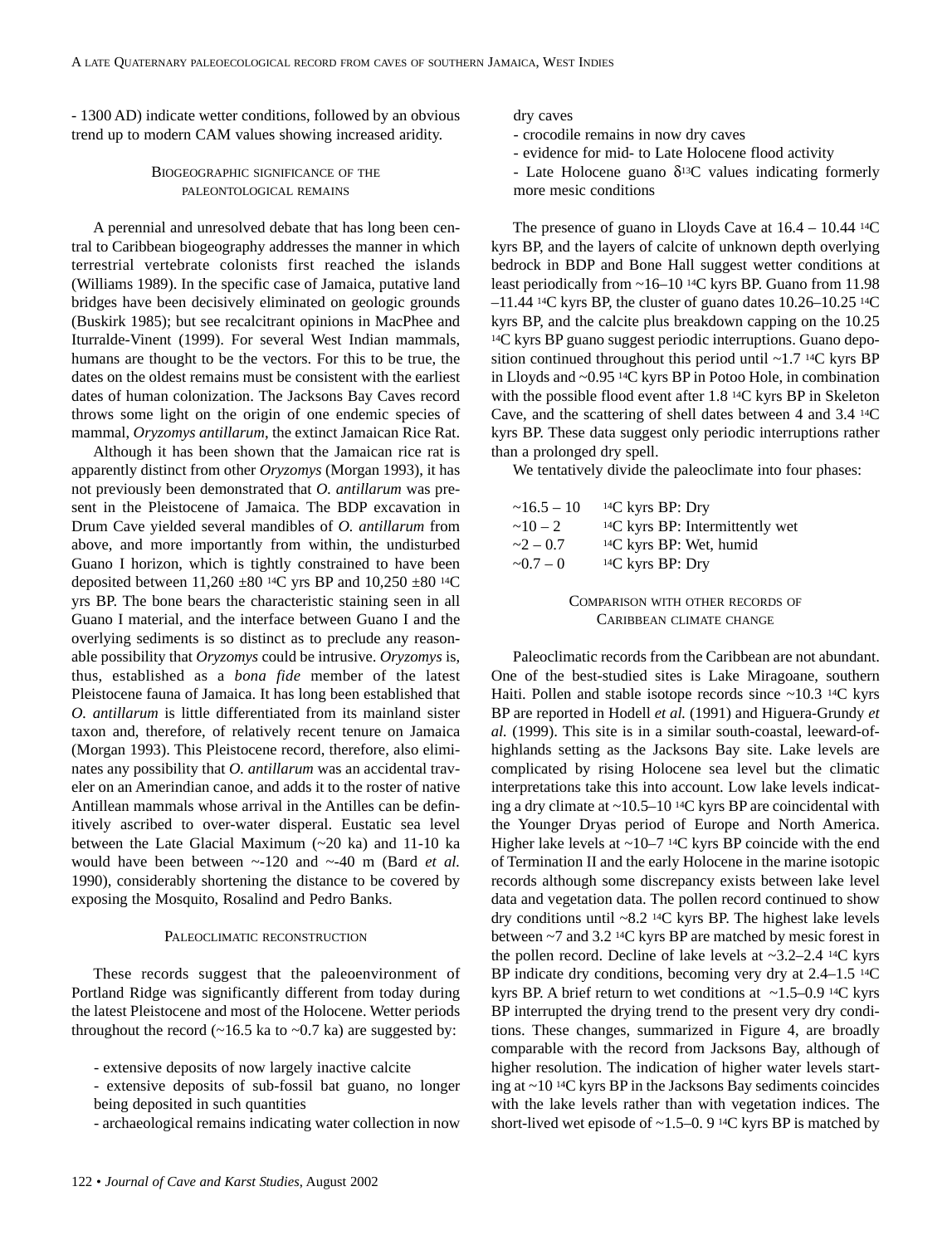- 1300 AD) indicate wetter conditions, followed by an obvious trend up to modern CAM values showing increased aridity.

## BIOGEOGRAPHIC SIGNIFICANCE OF THE PALEONTOLOGICAL REMAINS

A perennial and unresolved debate that has long been central to Caribbean biogeography addresses the manner in which terrestrial vertebrate colonists first reached the islands (Williams 1989). In the specific case of Jamaica, putative land bridges have been decisively eliminated on geologic grounds (Buskirk 1985); but see recalcitrant opinions in MacPhee and Iturralde-Vinent (1999). For several West Indian mammals, humans are thought to be the vectors. For this to be true, the dates on the oldest remains must be consistent with the earliest dates of human colonization. The Jacksons Bay Caves record throws some light on the origin of one endemic species of mammal, *Oryzomys antillarum*, the extinct Jamaican Rice Rat.

Although it has been shown that the Jamaican rice rat is apparently distinct from other *Oryzomys* (Morgan 1993), it has not previously been demonstrated that *O. antillarum* was present in the Pleistocene of Jamaica. The BDP excavation in Drum Cave yielded several mandibles of *O. antillarum* from above, and more importantly from within, the undisturbed Guano I horizon, which is tightly constrained to have been deposited between 11,260  $\pm 80$  <sup>14</sup>C yrs BP and 10,250  $\pm 80$  <sup>14</sup>C yrs BP. The bone bears the characteristic staining seen in all Guano I material, and the interface between Guano I and the overlying sediments is so distinct as to preclude any reasonable possibility that *Oryzomys* could be intrusive. *Oryzomys* is, thus, established as a *bona fide* member of the latest Pleistocene fauna of Jamaica. It has long been established that *O. antillarum* is little differentiated from its mainland sister taxon and, therefore, of relatively recent tenure on Jamaica (Morgan 1993). This Pleistocene record, therefore, also eliminates any possibility that *O. antillarum* was an accidental traveler on an Amerindian canoe, and adds it to the roster of native Antillean mammals whose arrival in the Antilles can be definitively ascribed to over-water disperal. Eustatic sea level between the Late Glacial Maximum (~20 ka) and 11-10 ka would have been between ~-120 and ~-40 m (Bard *et al.* 1990), considerably shortening the distance to be covered by exposing the Mosquito, Rosalind and Pedro Banks.

### PALEOCLIMATIC RECONSTRUCTION

These records suggest that the paleoenvironment of Portland Ridge was significantly different from today during the latest Pleistocene and most of the Holocene. Wetter periods throughout the record  $(-16.5 \text{ ka to } -0.7 \text{ ka})$  are suggested by:

- archaeological remains indicating water collection in now

dry caves

- crocodile remains in now dry caves
- evidence for mid- to Late Holocene flood activity
- Late Holocene guano  $\delta^{13}$ C values indicating formerly more mesic conditions

The presence of guano in Lloyds Cave at  $16.4 - 10.44$  <sup>14</sup>C kyrs BP, and the layers of calcite of unknown depth overlying bedrock in BDP and Bone Hall suggest wetter conditions at least periodically from ~16–10 14C kyrs BP. Guano from 11.98  $-11.44$  <sup>14</sup>C kyrs BP, the cluster of guano dates  $10.26-10.25$  <sup>14</sup>C kyrs BP, and the calcite plus breakdown capping on the 10.25 14C kyrs BP guano suggest periodic interruptions. Guano deposition continued throughout this period until ~1.7 14C kyrs BP in Lloyds and ~0.95 14C kyrs BP in Potoo Hole, in combination with the possible flood event after 1.8 14C kyrs BP in Skeleton Cave, and the scattering of shell dates between 4 and 3.4 14C kyrs BP. These data suggest only periodic interruptions rather than a prolonged dry spell.

We tentatively divide the paleoclimate into four phases:

| $\sim$ 16.5 – 10 | $14C$ kyrs BP: Dry                   |
|------------------|--------------------------------------|
| $\sim 10 - 2$    | $^{14}C$ kyrs BP: Intermittently wet |
| $-2 - 0.7$       | $14C$ kyrs BP: Wet, humid            |
| $\sim 0.7 - 0$   | $14C$ kyrs BP: Dry                   |

COMPARISON WITH OTHER RECORDS OF CARIBBEAN CLIMATE CHANGE

Paleoclimatic records from the Caribbean are not abundant. One of the best-studied sites is Lake Miragoane, southern Haiti. Pollen and stable isotope records since  $\sim$ 10.3 <sup>14</sup>C kyrs BP are reported in Hodell *et al.* (1991) and Higuera-Grundy *et al.* (1999). This site is in a similar south-coastal, leeward-ofhighlands setting as the Jacksons Bay site. Lake levels are complicated by rising Holocene sea level but the climatic interpretations take this into account. Low lake levels indicating a dry climate at  $\sim$ 10.5–10 <sup>14</sup>C kyrs BP are coincidental with the Younger Dryas period of Europe and North America. Higher lake levels at  $\sim$ 10–7 <sup>14</sup>C kyrs BP coincide with the end of Termination II and the early Holocene in the marine isotopic records although some discrepancy exists between lake level data and vegetation data. The pollen record continued to show dry conditions until ~8.2 14C kyrs BP. The highest lake levels between ~7 and 3.2 14C kyrs BP are matched by mesic forest in the pollen record. Decline of lake levels at ~3.2–2.4 14C kyrs BP indicate dry conditions, becoming very dry at 2.4–1.5 <sup>14</sup>C kyrs BP. A brief return to wet conditions at  $\sim$ 1.5–0.9 <sup>14</sup>C kyrs BP interrupted the drying trend to the present very dry conditions. These changes, summarized in Figure 4, are broadly comparable with the record from Jacksons Bay, although of higher resolution. The indication of higher water levels starting at ~10 14C kyrs BP in the Jacksons Bay sediments coincides with the lake levels rather than with vegetation indices. The short-lived wet episode of  $\sim$ 1.5–0. 9<sup>14</sup>C kyrs BP is matched by

<sup>-</sup> extensive deposits of now largely inactive calcite

<sup>-</sup> extensive deposits of sub-fossil bat guano, no longer being deposited in such quantities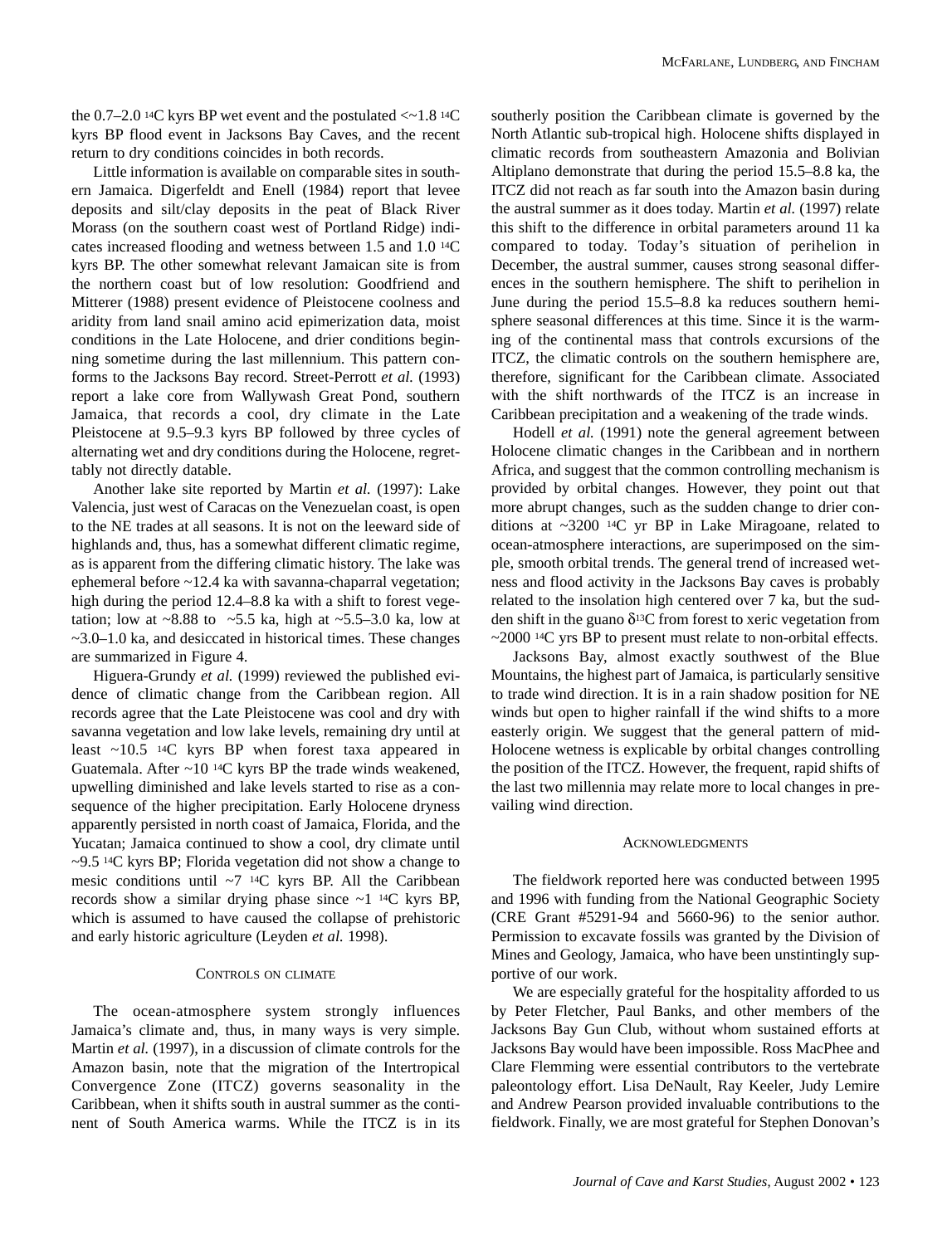the  $0.7-2.0$  <sup>14</sup>C kyrs BP wet event and the postulated  $\langle \sim 1.8 \,^{14}$ C kyrs BP flood event in Jacksons Bay Caves, and the recent return to dry conditions coincides in both records.

Little information is available on comparable sites in southern Jamaica. Digerfeldt and Enell (1984) report that levee deposits and silt/clay deposits in the peat of Black River Morass (on the southern coast west of Portland Ridge) indicates increased flooding and wetness between 1.5 and 1.0 14C kyrs BP. The other somewhat relevant Jamaican site is from the northern coast but of low resolution: Goodfriend and Mitterer (1988) present evidence of Pleistocene coolness and aridity from land snail amino acid epimerization data, moist conditions in the Late Holocene, and drier conditions beginning sometime during the last millennium. This pattern conforms to the Jacksons Bay record. Street-Perrott *et al.* (1993) report a lake core from Wallywash Great Pond, southern Jamaica, that records a cool, dry climate in the Late Pleistocene at 9.5–9.3 kyrs BP followed by three cycles of alternating wet and dry conditions during the Holocene, regrettably not directly datable.

Another lake site reported by Martin *et al.* (1997): Lake Valencia, just west of Caracas on the Venezuelan coast, is open to the NE trades at all seasons. It is not on the leeward side of highlands and, thus, has a somewhat different climatic regime, as is apparent from the differing climatic history. The lake was ephemeral before ~12.4 ka with savanna-chaparral vegetation; high during the period 12.4–8.8 ka with a shift to forest vegetation; low at  $\sim 8.88$  to  $\sim 5.5$  ka, high at  $\sim 5.5-3.0$  ka, low at  $\sim$ 3.0–1.0 ka, and desiccated in historical times. These changes are summarized in Figure 4.

Higuera-Grundy *et al.* (1999) reviewed the published evidence of climatic change from the Caribbean region. All records agree that the Late Pleistocene was cool and dry with savanna vegetation and low lake levels, remaining dry until at least  $\sim$ 10.5 <sup>14</sup>C kyrs BP when forest taxa appeared in Guatemala. After  $\sim$ 10<sup>14</sup>C kyrs BP the trade winds weakened, upwelling diminished and lake levels started to rise as a consequence of the higher precipitation. Early Holocene dryness apparently persisted in north coast of Jamaica, Florida, and the Yucatan; Jamaica continued to show a cool, dry climate until ~9.5 14C kyrs BP; Florida vegetation did not show a change to mesic conditions until  $\sim$ 7 <sup>14</sup>C kyrs BP. All the Caribbean records show a similar drying phase since  $\sim$ 1 <sup>14</sup>C kyrs BP, which is assumed to have caused the collapse of prehistoric and early historic agriculture (Leyden *et al.* 1998).

#### CONTROLS ON CLIMATE

The ocean-atmosphere system strongly influences Jamaica's climate and, thus, in many ways is very simple. Martin *et al.* (1997), in a discussion of climate controls for the Amazon basin, note that the migration of the Intertropical Convergence Zone (ITCZ) governs seasonality in the Caribbean, when it shifts south in austral summer as the continent of South America warms. While the ITCZ is in its southerly position the Caribbean climate is governed by the North Atlantic sub-tropical high. Holocene shifts displayed in climatic records from southeastern Amazonia and Bolivian Altiplano demonstrate that during the period 15.5–8.8 ka, the ITCZ did not reach as far south into the Amazon basin during the austral summer as it does today. Martin *et al.* (1997) relate this shift to the difference in orbital parameters around 11 ka compared to today. Today's situation of perihelion in December, the austral summer, causes strong seasonal differences in the southern hemisphere. The shift to perihelion in June during the period 15.5–8.8 ka reduces southern hemisphere seasonal differences at this time. Since it is the warming of the continental mass that controls excursions of the ITCZ, the climatic controls on the southern hemisphere are, therefore, significant for the Caribbean climate. Associated with the shift northwards of the ITCZ is an increase in Caribbean precipitation and a weakening of the trade winds.

Hodell *et al.* (1991) note the general agreement between Holocene climatic changes in the Caribbean and in northern Africa, and suggest that the common controlling mechanism is provided by orbital changes. However, they point out that more abrupt changes, such as the sudden change to drier conditions at ~3200 14C yr BP in Lake Miragoane, related to ocean-atmosphere interactions, are superimposed on the simple, smooth orbital trends. The general trend of increased wetness and flood activity in the Jacksons Bay caves is probably related to the insolation high centered over 7 ka, but the sudden shift in the guano  $\delta^{13}$ C from forest to xeric vegetation from ~2000 14C yrs BP to present must relate to non-orbital effects.

Jacksons Bay, almost exactly southwest of the Blue Mountains, the highest part of Jamaica, is particularly sensitive to trade wind direction. It is in a rain shadow position for NE winds but open to higher rainfall if the wind shifts to a more easterly origin. We suggest that the general pattern of mid-Holocene wetness is explicable by orbital changes controlling the position of the ITCZ. However, the frequent, rapid shifts of the last two millennia may relate more to local changes in prevailing wind direction.

## **ACKNOWLEDGMENTS**

The fieldwork reported here was conducted between 1995 and 1996 with funding from the National Geographic Society (CRE Grant #5291-94 and 5660-96) to the senior author. Permission to excavate fossils was granted by the Division of Mines and Geology, Jamaica, who have been unstintingly supportive of our work.

We are especially grateful for the hospitality afforded to us by Peter Fletcher, Paul Banks, and other members of the Jacksons Bay Gun Club, without whom sustained efforts at Jacksons Bay would have been impossible. Ross MacPhee and Clare Flemming were essential contributors to the vertebrate paleontology effort. Lisa DeNault, Ray Keeler, Judy Lemire and Andrew Pearson provided invaluable contributions to the fieldwork. Finally, we are most grateful for Stephen Donovan's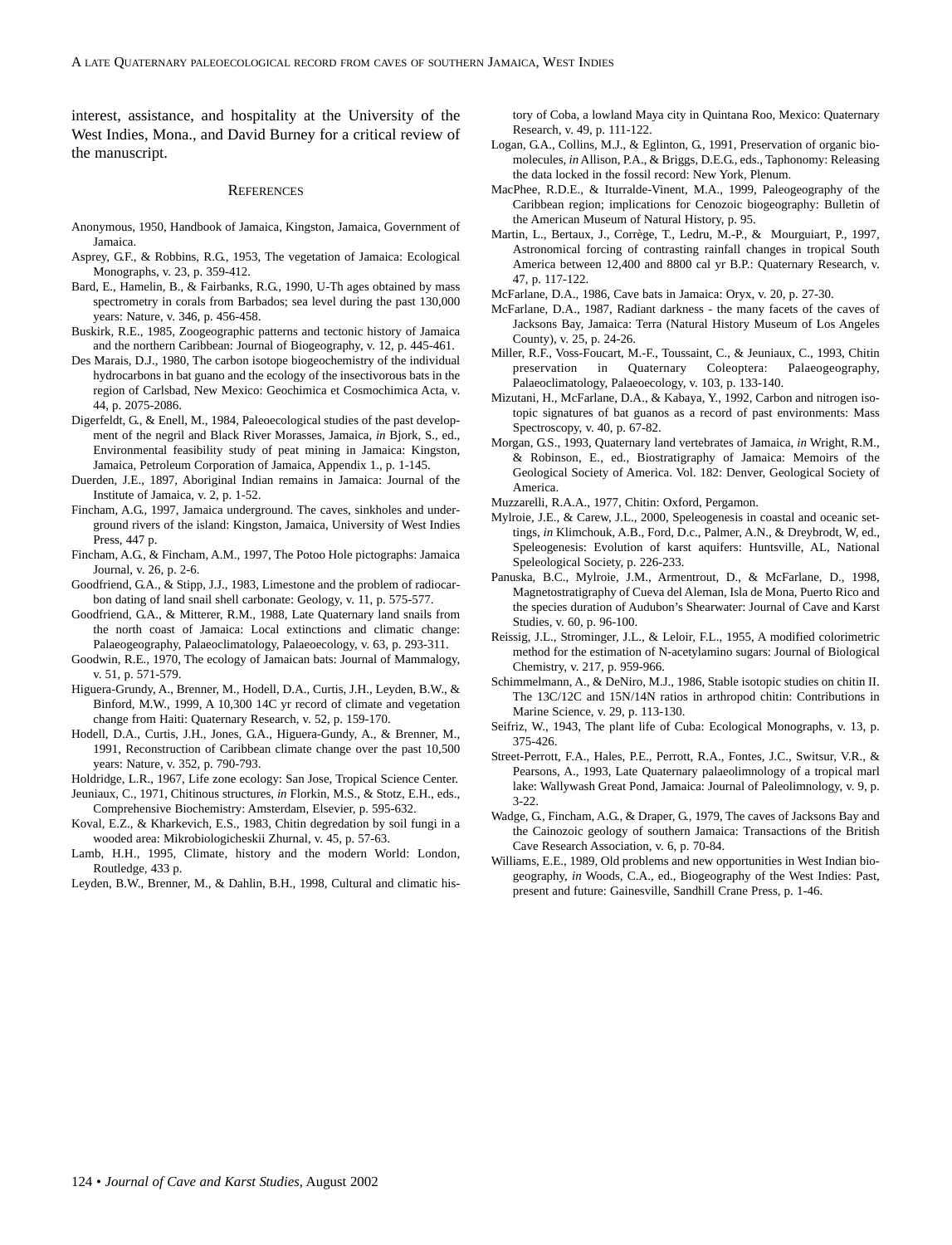interest, assistance, and hospitality at the University of the West Indies, Mona., and David Burney for a critical review of the manuscript.

#### **REFERENCES**

- Anonymous, 1950, Handbook of Jamaica, Kingston, Jamaica, Government of Jamaica.
- Asprey, G.F., & Robbins, R.G., 1953, The vegetation of Jamaica: Ecological Monographs, v. 23, p. 359-412.
- Bard, E., Hamelin, B., & Fairbanks, R.G., 1990, U-Th ages obtained by mass spectrometry in corals from Barbados; sea level during the past 130,000 years: Nature, v. 346, p. 456-458.
- Buskirk, R.E., 1985, Zoogeographic patterns and tectonic history of Jamaica and the northern Caribbean: Journal of Biogeography, v. 12, p. 445-461.
- Des Marais, D.J., 1980, The carbon isotope biogeochemistry of the individual hydrocarbons in bat guano and the ecology of the insectivorous bats in the region of Carlsbad, New Mexico: Geochimica et Cosmochimica Acta, v. 44, p. 2075-2086.
- Digerfeldt, G., & Enell, M., 1984, Paleoecological studies of the past development of the negril and Black River Morasses, Jamaica, *in* Bjork, S., ed., Environmental feasibility study of peat mining in Jamaica: Kingston, Jamaica, Petroleum Corporation of Jamaica, Appendix 1., p. 1-145.
- Duerden, J.E., 1897, Aboriginal Indian remains in Jamaica: Journal of the Institute of Jamaica, v. 2, p. 1-52.
- Fincham, A.G., 1997, Jamaica underground. The caves, sinkholes and underground rivers of the island: Kingston, Jamaica, University of West Indies Press, 447 p.
- Fincham, A.G., & Fincham, A.M., 1997, The Potoo Hole pictographs: Jamaica Journal, v. 26, p. 2-6.
- Goodfriend, G.A., & Stipp, J.J., 1983, Limestone and the problem of radiocarbon dating of land snail shell carbonate: Geology, v. 11, p. 575-577.
- Goodfriend, G.A., & Mitterer, R.M., 1988, Late Quaternary land snails from the north coast of Jamaica: Local extinctions and climatic change: Palaeogeography, Palaeoclimatology, Palaeoecology, v. 63, p. 293-311.
- Goodwin, R.E., 1970, The ecology of Jamaican bats: Journal of Mammalogy, v. 51, p. 571-579.
- Higuera-Grundy, A., Brenner, M., Hodell, D.A., Curtis, J.H., Leyden, B.W., & Binford, M.W., 1999, A 10,300 14C yr record of climate and vegetation change from Haiti: Quaternary Research, v. 52, p. 159-170.
- Hodell, D.A., Curtis, J.H., Jones, G.A., Higuera-Gundy, A., & Brenner, M., 1991, Reconstruction of Caribbean climate change over the past 10,500 years: Nature, v. 352, p. 790-793.
- Holdridge, L.R., 1967, Life zone ecology: San Jose, Tropical Science Center.
- Jeuniaux, C., 1971, Chitinous structures, *in* Florkin, M.S., & Stotz, E.H., eds., Comprehensive Biochemistry: Amsterdam, Elsevier, p. 595-632. Koval, E.Z., & Kharkevich, E.S., 1983, Chitin degredation by soil fungi in a
- wooded area: Mikrobiologicheskii Zhurnal, v. 45, p. 57-63.
- Lamb, H.H., 1995, Climate, history and the modern World: London, Routledge, 433 p.
- Leyden, B.W., Brenner, M., & Dahlin, B.H., 1998, Cultural and climatic his-

tory of Coba, a lowland Maya city in Quintana Roo, Mexico: Quaternary Research, v. 49, p. 111-122.

- Logan, G.A., Collins, M.J., & Eglinton, G., 1991, Preservation of organic biomolecules, *in* Allison, P.A., & Briggs, D.E.G., eds., Taphonomy: Releasing the data locked in the fossil record: New York, Plenum.
- MacPhee, R.D.E., & Iturralde-Vinent, M.A., 1999, Paleogeography of the Caribbean region; implications for Cenozoic biogeography: Bulletin of the American Museum of Natural History, p. 95.
- Martin, L., Bertaux, J., Corrège, T., Ledru, M.-P., & Mourguiart, P., 1997, Astronomical forcing of contrasting rainfall changes in tropical South America between 12,400 and 8800 cal yr B.P.: Quaternary Research, v. 47, p. 117-122.
- McFarlane, D.A., 1986, Cave bats in Jamaica: Oryx, v. 20, p. 27-30.
- McFarlane, D.A., 1987, Radiant darkness the many facets of the caves of Jacksons Bay, Jamaica: Terra (Natural History Museum of Los Angeles County), v. 25, p. 24-26.
- Miller, R.F., Voss-Foucart, M.-F., Toussaint, C., & Jeuniaux, C., 1993, Chitin preservation in Quaternary Coleoptera: Palaeogeography, Palaeoclimatology, Palaeoecology, v. 103, p. 133-140.
- Mizutani, H., McFarlane, D.A., & Kabaya, Y., 1992, Carbon and nitrogen isotopic signatures of bat guanos as a record of past environments: Mass Spectroscopy, v. 40, p. 67-82.
- Morgan, G.S., 1993, Quaternary land vertebrates of Jamaica, *in* Wright, R.M., & Robinson, E., ed., Biostratigraphy of Jamaica: Memoirs of the Geological Society of America. Vol. 182: Denver, Geological Society of America.
- Muzzarelli, R.A.A., 1977, Chitin: Oxford, Pergamon.
- Mylroie, J.E., & Carew, J.L., 2000, Speleogenesis in coastal and oceanic settings, *in* Klimchouk, A.B., Ford, D.c., Palmer, A.N., & Dreybrodt, W, ed., Speleogenesis: Evolution of karst aquifers: Huntsville, AL, National Speleological Society, p. 226-233.
- Panuska, B.C., Mylroie, J.M., Armentrout, D., & McFarlane, D., 1998, Magnetostratigraphy of Cueva del Aleman, Isla de Mona, Puerto Rico and the species duration of Audubon's Shearwater: Journal of Cave and Karst Studies, v. 60, p. 96-100.
- Reissig, J.L., Strominger, J.L., & Leloir, F.L., 1955, A modified colorimetric method for the estimation of N-acetylamino sugars: Journal of Biological Chemistry, v. 217, p. 959-966.
- Schimmelmann, A., & DeNiro, M.J., 1986, Stable isotopic studies on chitin II. The 13C/12C and 15N/14N ratios in arthropod chitin: Contributions in Marine Science, v. 29, p. 113-130.
- Seifriz, W., 1943, The plant life of Cuba: Ecological Monographs, v. 13, p. 375-426.
- Street-Perrott, F.A., Hales, P.E., Perrott, R.A., Fontes, J.C., Switsur, V.R., & Pearsons, A., 1993, Late Quaternary palaeolimnology of a tropical marl lake: Wallywash Great Pond, Jamaica: Journal of Paleolimnology, v. 9, p. 3-22.
- Wadge, G., Fincham, A.G., & Draper, G., 1979, The caves of Jacksons Bay and the Cainozoic geology of southern Jamaica: Transactions of the British Cave Research Association, v. 6, p. 70-84.
- Williams, E.E., 1989, Old problems and new opportunities in West Indian biogeography, *in* Woods, C.A., ed., Biogeography of the West Indies: Past, present and future: Gainesville, Sandhill Crane Press, p. 1-46.